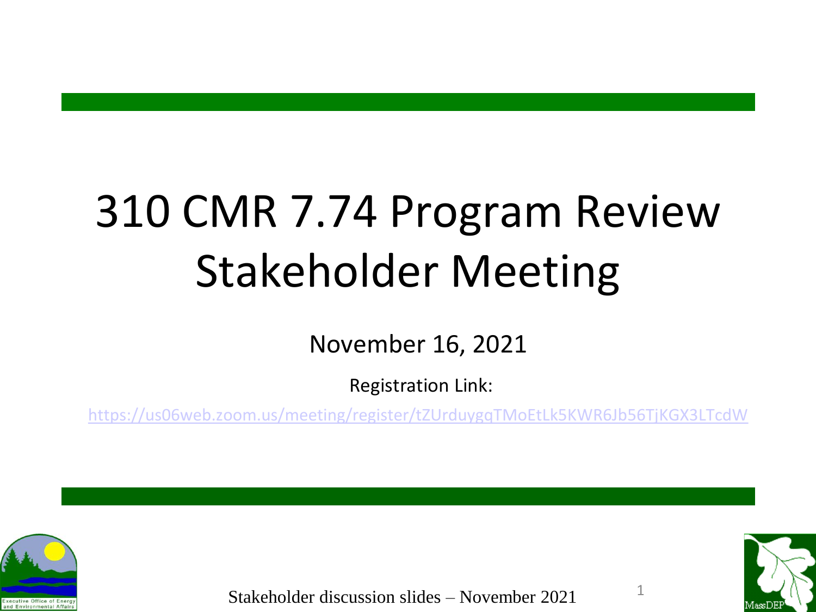# 310 CMR 7.74 Program Review Stakeholder Meeting

November 16, 2021

Registration Link:

<https://us06web.zoom.us/meeting/register/tZUrduygqTMoEtLk5KWR6Jb56TjKGX3LTcdW>



Stakeholder discussion slides – November 2021

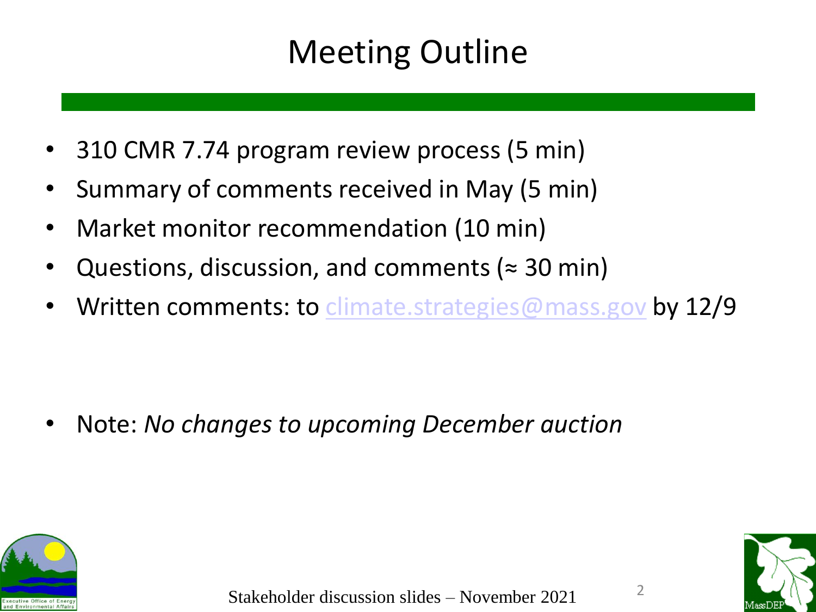## Meeting Outline

- 310 CMR 7.74 program review process (5 min)
- Summary of comments received in May (5 min)
- Market monitor recommendation (10 min)
- Questions, discussion, and comments ( $\approx$  30 min)
- Written comments: to [climate.strategies@mass.gov](mailto:climate.strategies@mass.gov) by 12/9

• Note: *No changes to upcoming December auction*





 $\overline{\phantom{a}}$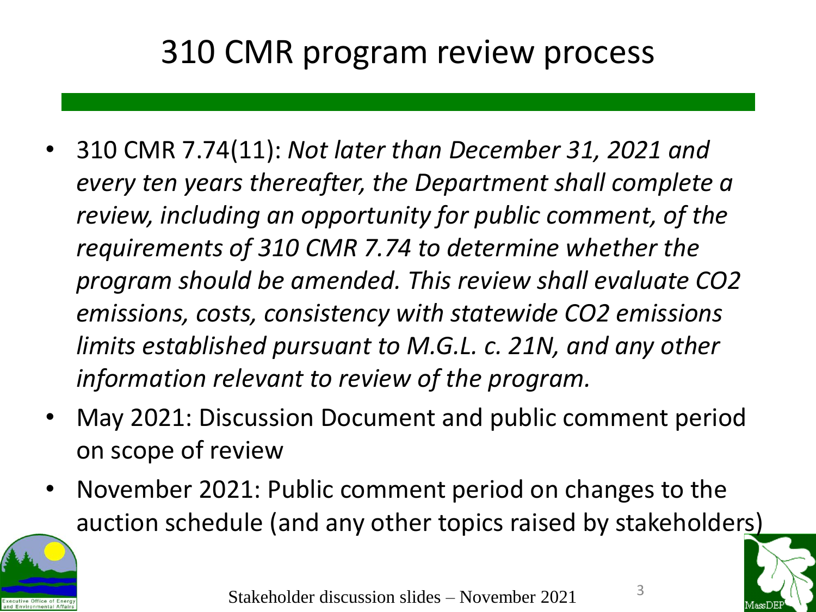#### 310 CMR program review process

- 310 CMR 7.74(11): *Not later than December 31, 2021 and every ten years thereafter, the Department shall complete a review, including an opportunity for public comment, of the requirements of 310 CMR 7.74 to determine whether the program should be amended. This review shall evaluate CO2 emissions, costs, consistency with statewide CO2 emissions limits established pursuant to M.G.L. c. 21N, and any other information relevant to review of the program.*
- May 2021: Discussion Document and public comment period on scope of review
- November 2021: Public comment period on changes to the auction schedule (and any other topics raised by stakeholders)



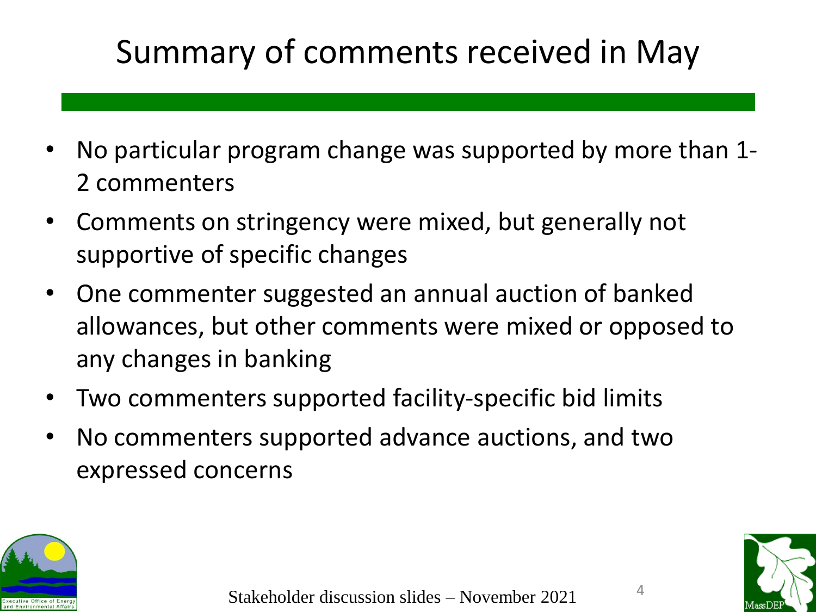# Summary of comments received in May

- No particular program change was supported by more than 1- 2 commenters
- Comments on stringency were mixed, but generally not supportive of specific changes
- One commenter suggested an annual auction of banked allowances, but other comments were mixed or opposed to any changes in banking
- Two commenters supported facility-specific bid limits
- No commenters supported advance auctions, and two expressed concerns



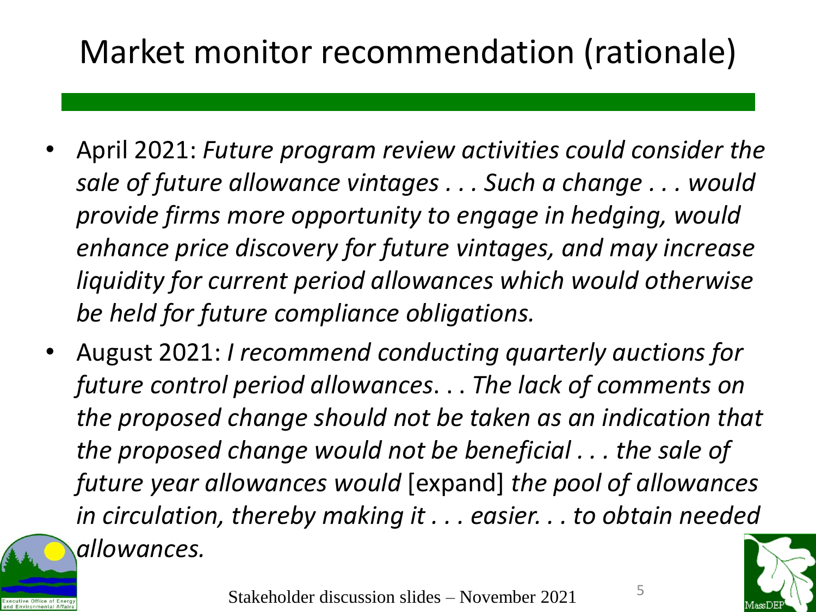## Market monitor recommendation (rationale)

- April 2021: *Future program review activities could consider the sale of future allowance vintages . . . Such a change . . . would provide firms more opportunity to engage in hedging, would enhance price discovery for future vintages, and may increase liquidity for current period allowances which would otherwise be held for future compliance obligations.*
- August 2021: *I recommend conducting quarterly auctions for future control period allowances*. . . *The lack of comments on the proposed change should not be taken as an indication that the proposed change would not be beneficial . . . the sale of future year allowances would* [expand] *the pool of allowances in circulation, thereby making it . . . easier. . . to obtain needed allowances.*



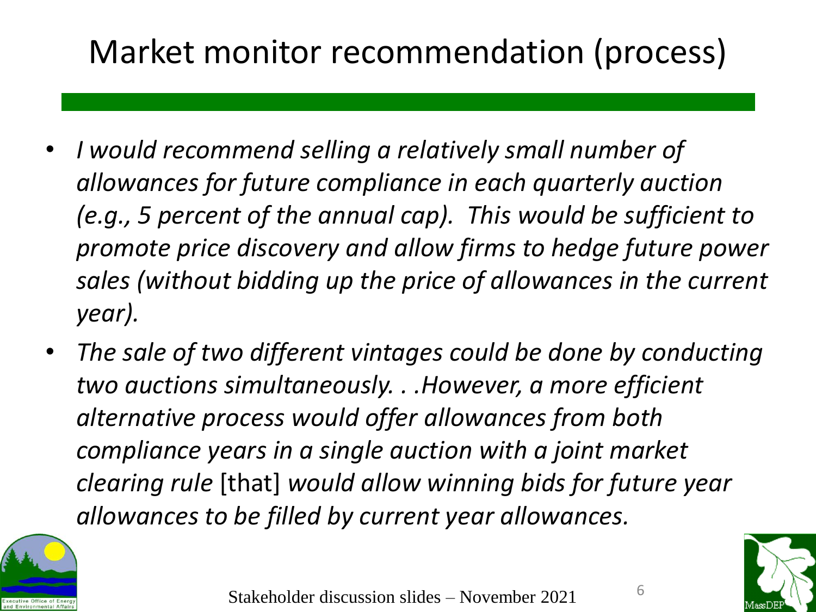# Market monitor recommendation (process)

- *I would recommend selling a relatively small number of allowances for future compliance in each quarterly auction (e.g., 5 percent of the annual cap). This would be sufficient to promote price discovery and allow firms to hedge future power sales (without bidding up the price of allowances in the current year).*
- *The sale of two different vintages could be done by conducting two auctions simultaneously. . .However, a more efficient alternative process would offer allowances from both compliance years in a single auction with a joint market clearing rule* [that] *would allow winning bids for future year allowances to be filled by current year allowances.*